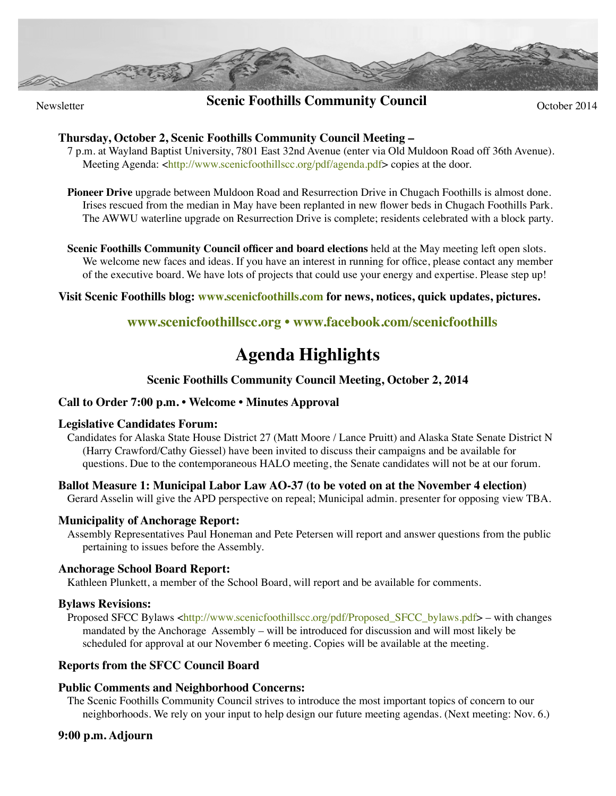

# **Newsletter** Scenic Foothills Community Council Council Council Council

### **Thursday, October 2, Scenic Foothills Community Council Meeting –**

- 7 p.m. at Wayland Baptist University, 7801 East 32nd Avenue (enter via Old Muldoon Road off 36th Avenue). Meeting Agenda: [<http://www.scenicfoothillscc.org/pdf/agenda.pdf>](http://www.scenicfoothillscc.org/pdf/agenda.pdf) copies at the door.
- **Pioneer Drive** upgrade between Muldoon Road and Resurrection Drive in Chugach Foothills is almost done. Irises rescued from the median in May have been replanted in new flower beds in Chugach Foothills Park. The AWWU waterline upgrade on Resurrection Drive is complete; residents celebrated with a block party.

**Scenic Foothills Community Council officer and board elections** held at the May meeting left open slots. We welcome new faces and ideas. If you have an interest in running for office, please contact any member of the executive board. We have lots of projects that could use your energy and expertise. Please step up!

**Visit Scenic Foothills blog: [www.scenicfoothills.com](http://www.scenicfoothills.com) for news, notices, quick updates, pictures.**

# **[www.scenicfoothillscc.org](http://www.scenicfoothillscc.org) • [www.facebook.com/scenicfoothills](http://www.facebook.com/scenicfoothills)**

# **Agenda Highlights**

# **Scenic Foothills Community Council Meeting, October 2, 2014**

#### **Call to Order 7:00 p.m. • Welcome • Minutes Approval**

#### **Legislative Candidates Forum:**

Candidates for Alaska State House District 27 (Matt Moore / Lance Pruitt) and Alaska State Senate District N (Harry Crawford/Cathy Giessel) have been invited to discuss their campaigns and be available for questions. Due to the contemporaneous HALO meeting, the Senate candidates will not be at our forum.

# **Ballot Measure 1: Municipal Labor Law AO-37 (to be voted on at the November 4 election)**

Gerard Asselin will give the APD perspective on repeal; Municipal admin. presenter for opposing view TBA.

#### **Municipality of Anchorage Report:**

Assembly Representatives Paul Honeman and Pete Petersen will report and answer questions from the public pertaining to issues before the Assembly.

#### **Anchorage School Board Report:**

Kathleen Plunkett, a member of the School Board, will report and be available for comments.

#### **Bylaws Revisions:**

Proposed SFCC Bylaws [<http://www.scenicfoothillscc.org/pdf/Proposed\\_SFCC\\_bylaws.pdf>](http://www.scenicfoothillscc.org/pdf/Proposed_SFCC_bylaws.pdf) – with changes mandated by the Anchorage Assembly – will be introduced for discussion and will most likely be scheduled for approval at our November 6 meeting. Copies will be available at the meeting.

# **Reports from the SFCC Council Board**

#### **Public Comments and Neighborhood Concerns:**

The Scenic Foothills Community Council strives to introduce the most important topics of concern to our neighborhoods. We rely on your input to help design our future meeting agendas. (Next meeting: Nov. 6.)

# **9:00 p.m. Adjourn**